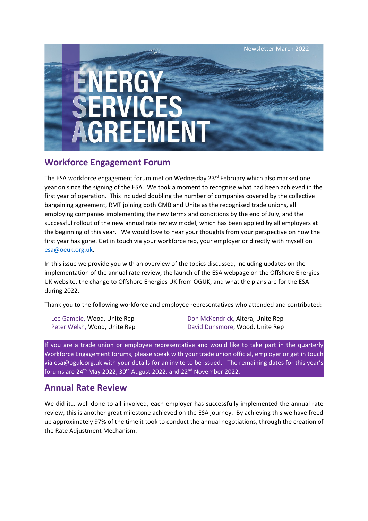

# **Workforce Engagement Forum**

The ESA workforce engagement forum met on Wednesday 23<sup>rd</sup> February which also marked one year on since the signing of the ESA. We took a moment to recognise what had been achieved in the first year of operation. This included doubling the number of companies covered by the collective bargaining agreement, RMT joining both GMB and Unite as the recognised trade unions, all employing companies implementing the new terms and conditions by the end of July, and the successful rollout of the new annual rate review model, which has been applied by all employers at the beginning of this year. We would love to hear your thoughts from your perspective on how the first year has gone. Get in touch via your workforce rep, your employer or directly with myself on [esa@oeuk.org.uk.](mailto:esa@oeuk.org.uk)

In this issue we provide you with an overview of the topics discussed, including updates on the implementation of the annual rate review, the launch of the ESA webpage on the Offshore Energies UK website, the change to Offshore Energies UK from OGUK, and what the plans are for the ESA during 2022.

Thank you to the following workforce and employee representatives who attended and contributed:

Lee Gamble, Wood, Unite Rep Don McKendrick, Altera, Unite Rep Peter Welsh, Wood, Unite Rep **David Dunsmore, Wood, Unite Rep** 

If you are a trade union or employee representative and would like to take part in the quarterly Workforce Engagement forums, please speak with your trade union official, employer or get in touch via [esa@oguk.org.uk](mailto:esa@oguk.org.uk) with your details for an invite to be issued. The remaining dates for this year's forums are  $24^{th}$  May 2022, 30<sup>th</sup> August 2022, and  $22^{nd}$  November 2022.

## **Annual Rate Review**

We did it… well done to all involved, each employer has successfully implemented the annual rate review, this is another great milestone achieved on the ESA journey. By achieving this we have freed up approximately 97% of the time it took to conduct the annual negotiations, through the creation of the Rate Adjustment Mechanism.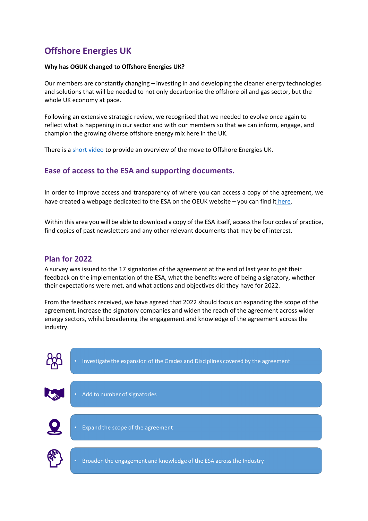# **Offshore Energies UK**

#### **Why has OGUK changed to Offshore Energies UK?**

Our members are constantly changing – investing in and developing the cleaner energy technologies and solutions that will be needed to not only decarbonise the offshore oil and gas sector, but the whole UK economy at pace.

Following an extensive strategic review, we recognised that we needed to evolve once again to reflect what is happening in our sector and with our members so that we can inform, engage, and champion the growing diverse offshore energy mix here in the UK.

There is a [short video](https://vimeo.com/676242931) to provide an overview of the move to Offshore Energies UK.

## **Ease of access to the ESA and supporting documents.**

In order to improve access and transparency of where you can access a copy of the agreement, we have created a webpage dedicated to the ESA on the OEUK website – you can find i[t here.](https://oeuk.org.uk/energy-services-agreement/)

Within this area you will be able to download a copy of the ESA itself, access the four codes of practice, find copies of past newsletters and any other relevant documents that may be of interest.

## **Plan for 2022**

A survey was issued to the 17 signatories of the agreement at the end of last year to get their feedback on the implementation of the ESA, what the benefits were of being a signatory, whether their expectations were met, and what actions and objectives did they have for 2022.

From the feedback received, we have agreed that 2022 should focus on expanding the scope of the agreement, increase the signatory companies and widen the reach of the agreement across wider energy sectors, whilst broadening the engagement and knowledge of the agreement across the industry.





Broaden the engagement and knowledge of the ESA across the Industry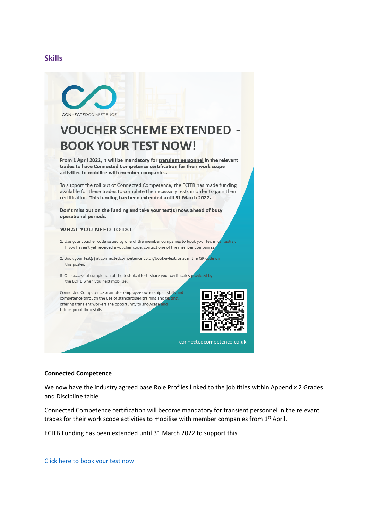### **Skills**



# **VOUCHER SCHEME EXTENDED -BOOK YOUR TEST NOW!**

From 1 April 2022, it will be mandatory for transient personnel in the relevant trades to have Connected Competence certification for their work scope activities to mobilise with member companies.

To support the roll out of Connected Competence, the ECITB has made funding available for these trades to complete the necessary tests in order to gain their certification. This funding has been extended until 31 March 2022.

Don't miss out on the funding and take your test(s) now, ahead of busy operational periods.

#### **WHAT YOU NEED TO DO**

- 1. Use your voucher code issued by one of the member companies to book your technical test(s). If you haven't yet received a voucher code, contact one of the member companies,
- 2. Book your test(s) at connectedcompetence.co.uk/book-a-test, or scan the QR co de on this poster.
- 3. On successful completion of the technical test, share your certificates provided by the ECITB when you next mobilise.

Connected Competence promotes employee ownership of skills and competence through the use of standardised training and tes offering transient workers the opportunity to showcase future-proof their skills.



connectedcompetence.co.uk

#### **Connected Competence**

We now have the industry agreed base Role Profiles linked to the job titles within Appendix 2 Grades and Discipline table

Connected Competence certification will become mandatory for transient personnel in the relevant trades for their work scope activities to mobilise with member companies from 1<sup>st</sup> April.

ECITB Funding has been extended until 31 March 2022 to support this.

[Click here to book your test now](https://connectedcompetence.co.uk/book-a-test/)